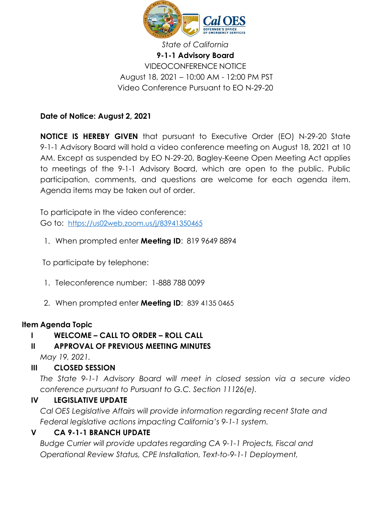

# *State of California* **9-1-1 Advisory Board** VIDEOCONFERENCE NOTICE August 18, 2021 – 10:00 AM - 12:00 PM PST Video Conference Pursuant to EO N-29-20

# **Date of Notice: August 2, 2021**

**NOTICE IS HEREBY GIVEN** that pursuant to Executive Order (EO) N-29-20 State 9-1-1 Advisory Board will hold a video conference meeting on August 18, 2021 at 10 AM. Except as suspended by EO N-29-20, Bagley-Keene Open Meeting Act applies to meetings of the 9-1-1 Advisory Board, which are open to the public. Public participation, comments, and questions are welcome for each agenda item. Agenda items may be taken out of order.

To participate in the video conference: Go to: <https://us02web.zoom.us/j/83941350465>

1. When prompted enter **Meeting ID**: 819 9649 8894

To participate by telephone:

- 1. Teleconference number: 1-888 788 0099
- 2. When prompted enter **Meeting ID**: 839 4135 0465

## **Item Agenda Topic**

## **I WELCOME – CALL TO ORDER – ROLL CALL**

## **II APPROVAL OF PREVIOUS MEETING MINUTES**

*May 19, 2021.*

#### **III CLOSED SESSION**

*The State 9-1-1 Advisory Board will meet in closed session via a secure video conference pursuant to Pursuant to G.C. Section 11126(e).*

## **IV LEGISLATIVE UPDATE**

*Cal OES Legislative Affairs will provide information regarding recent State and Federal legislative actions impacting California's 9-1-1 system.*

## **V CA 9-1-1 BRANCH UPDATE**

*Budge Currier will provide updates regarding CA 9-1-1 Projects, Fiscal and Operational Review Status, CPE Installation, Text-to-9-1-1 Deployment,*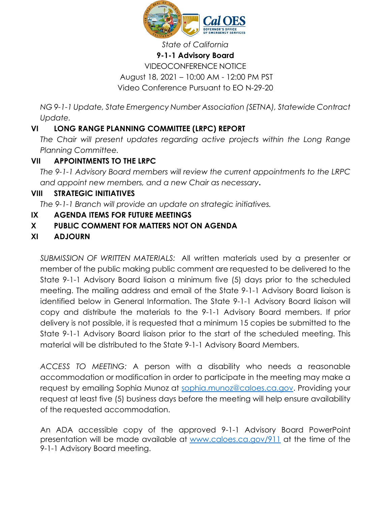

#### *State of California*

#### **9-1-1 Advisory Board**

# VIDEOCONFERENCE NOTICE August 18, 2021 – 10:00 AM - 12:00 PM PST Video Conference Pursuant to EO N-29-20

*NG 9-1-1 Update, State Emergency Number Association (SETNA), Statewide Contract Update.*

# **VI LONG RANGE PLANNING COMMITTEE (LRPC) REPORT**

*The Chair will present updates regarding active projects within the Long Range Planning Committee.*

# **VII APPOINTMENTS TO THE LRPC**

*The 9-1-1 Advisory Board members will review the current appointments to the LRPC and appoint new members, and a new Chair as necessary***.** 

## **VIII STRATEGIC INITIATIVES**

*The 9-1-1 Branch will provide an update on strategic initiatives.* 

## **IX AGENDA ITEMS FOR FUTURE MEETINGS**

## **X PUBLIC COMMENT FOR MATTERS NOT ON AGENDA**

# **XI ADJOURN**

*SUBMISSION OF WRITTEN MATERIALS:* All written materials used by a presenter or member of the public making public comment are requested to be delivered to the State 9-1-1 Advisory Board liaison a minimum five (5) days prior to the scheduled meeting. The mailing address and email of the State 9-1-1 Advisory Board liaison is identified below in General Information. The State 9-1-1 Advisory Board liaison will copy and distribute the materials to the 9-1-1 Advisory Board members. If prior delivery is not possible, it is requested that a minimum 15 copies be submitted to the State 9-1-1 Advisory Board liaison prior to the start of the scheduled meeting. This material will be distributed to the State 9-1-1 Advisory Board Members.

*ACCESS TO MEETING:* A person with a disability who needs a reasonable accommodation or modification in order to participate in the meeting may make a request by emailing Sophia Munoz at [sophia.munoz@caloes.ca.gov.](mailto:sophia.munoz@caloes.ca.gov) Providing your request at least five (5) business days before the meeting will help ensure availability of the requested accommodation.

An ADA accessible copy of the approved 9-1-1 Advisory Board PowerPoint presentation will be made available at [www.caloes.ca.gov/911](http://www.caloes.ca.gov/911) at the time of the 9-1-1 Advisory Board meeting.